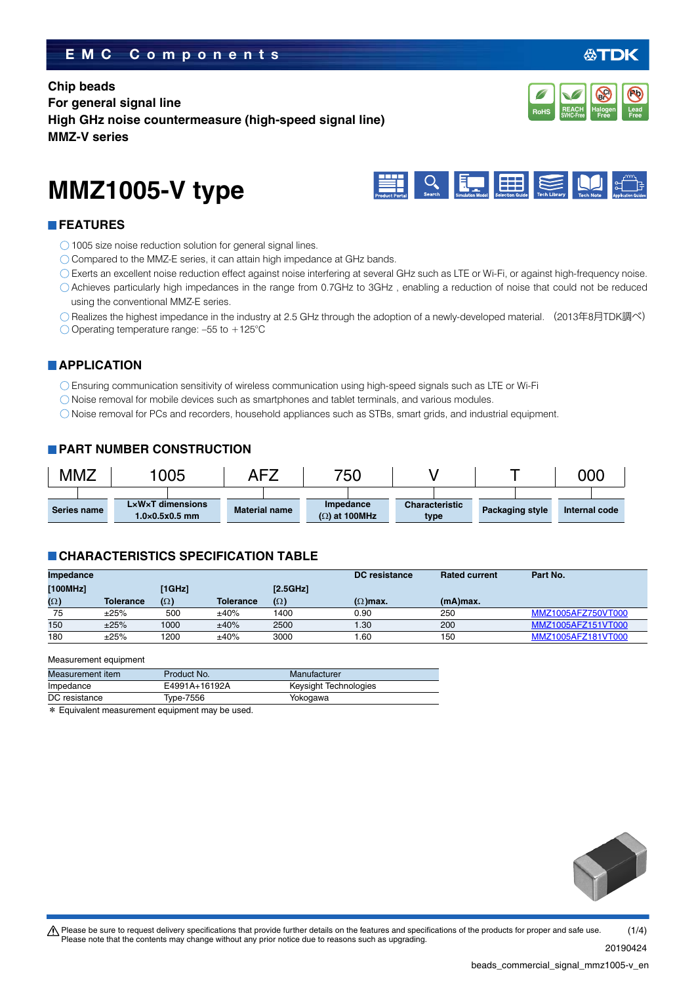## **EMC Components**

## **Chip beads For general signal line High GHz noise countermeasure (high-speed signal line) MMZ-V series**

# **MMZ1005-V type**

## **FEATURES**

- ◯ 1005 size noise reduction solution for general signal lines.
- $\bigcirc$  Compared to the MMZ-E series, it can attain high impedance at GHz bands.
- Exerts an excellent noise reduction effect against noise interfering at several GHz such as LTE or Wi-Fi, or against high-frequency noise.
- Achieves particularly high impedances in the range from 0.7GHz to 3GHz , enabling a reduction of noise that could not be reduced using the conventional MMZ-E series.
- Realizes the highest impedance in the industry at 2.5 GHz through the adoption of a newly-developed material. (2013年8月TDK調べ)  $\bigcirc$  Operating temperature range: -55 to +125°C

## **APPLICATION**

Ensuring communication sensitivity of wireless communication using high-speed signals such as LTE or Wi-Fi

- Noise removal for mobile devices such as smartphones and tablet terminals, and various modules.
- Noise removal for PCs and recorders, household appliances such as STBs, smart grids, and industrial equipment.

### **PART NUMBER CONSTRUCTION**

| MMZ         |  | 005 |                                                                | AFZ |                      | 750 |                                          |  |                               |                 |  | 00C           |  |
|-------------|--|-----|----------------------------------------------------------------|-----|----------------------|-----|------------------------------------------|--|-------------------------------|-----------------|--|---------------|--|
|             |  |     |                                                                |     |                      |     |                                          |  |                               |                 |  |               |  |
| Series name |  |     | $L \times W \times T$ dimensions<br>$1.0\times0.5\times0.5$ mm |     | <b>Material name</b> |     | <b>Impedance</b><br>$(\Omega)$ at 100MHz |  | <b>Characteristic</b><br>type | Packaging style |  | Internal code |  |

## **CHARACTERISTICS SPECIFICATION TABLE**

| Impedance  |                  |            |                  |            | DC resistance   | <b>Rated current</b> | Part No.           |
|------------|------------------|------------|------------------|------------|-----------------|----------------------|--------------------|
| [100MHz]   |                  | [1GHz]     |                  | [2.5GHz]   |                 |                      |                    |
| $(\Omega)$ | <b>Tolerance</b> | $(\Omega)$ | <b>Tolerance</b> | $(\Omega)$ | $(\Omega)$ max. | $(mA)$ max.          |                    |
| 75         | ±25%             | 500        | ±40%             | 1400       | 0.90            | 250                  | MMZ1005AFZ750VT000 |
| 150        | ±25%             | 1000       | ±40%             | 2500       | .30             | 200                  | MMZ1005AFZ151VT000 |
| 180        | ±25%             | 1200       | ±40%             | 3000       | .60             | 150                  | MMZ1005AFZ181VT000 |

Measurement equipment

| Measurement item | Product No.   | Manufacturer          |
|------------------|---------------|-----------------------|
| Impedance        | E4991A+16192A | Keysight Technologies |
| DC resistance    | Type-7556     | Yokogawa              |
|                  |               |                       |

\* Equivalent measurement equipment may be used.





 $\mathbb{R} \times \mathbb{R}$   $\mathbb{H} \times \mathbb{R}$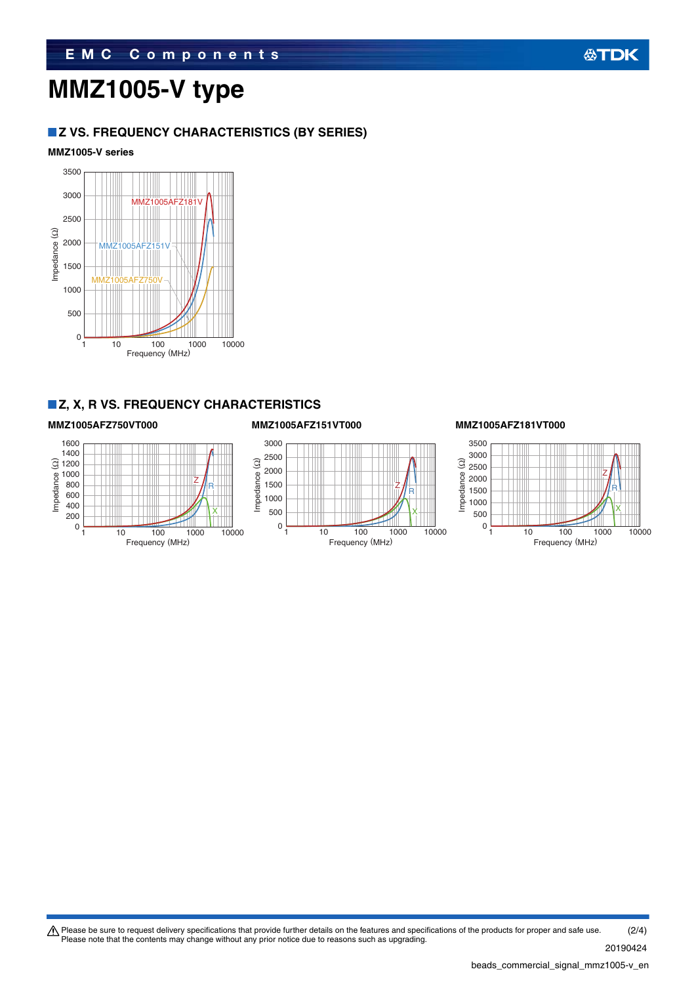# **MMZ1005-V type**

## **Z VS. FREQUENCY CHARACTERISTICS (BY SERIES)**

## **MMZ1005-V series**



## **Z, X, R VS. FREQUENCY CHARACTERISTICS**

Z∦<sub>R</sub>

X

Frequency (MHz)

Impedance (Ω)

## **MMZ1005AFZ750VT000 MMZ1005AFZ151VT000 MMZ1005AFZ181VT000**





Please be sure to request delivery specifications that provide further details on the features and specifications of the products for proper and safe use.<br>Please note that the contents may change without any prior notice d 20190424 (2/4)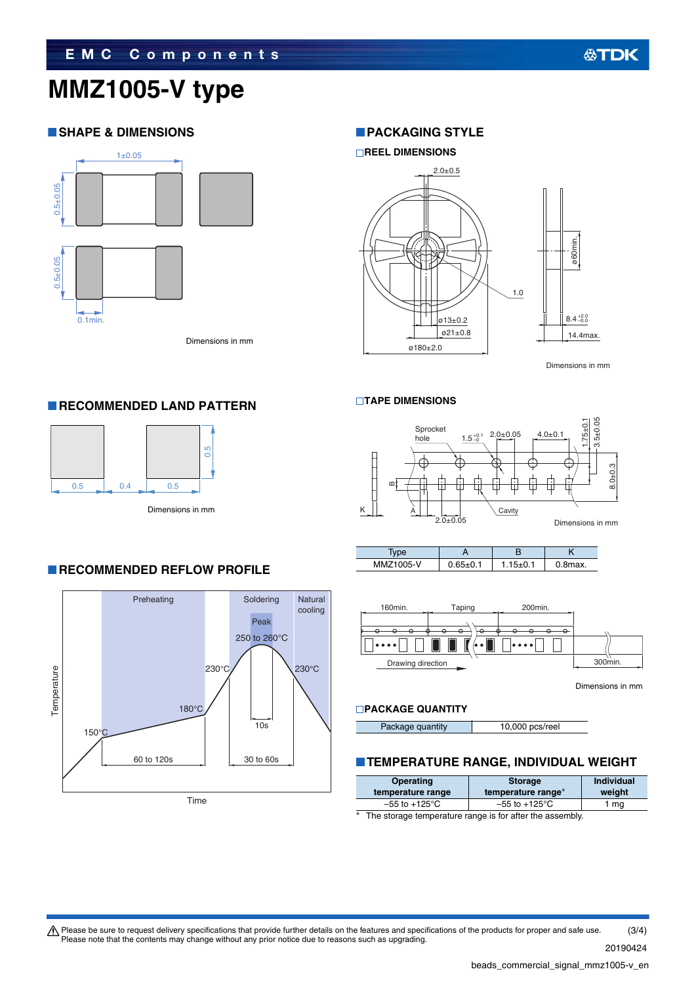# **MMZ1005-V type**

## **SHAPE & DIMENSIONS**



**RECOMMENDED LAND PATTERN** 

0.5 0.4 0.5

Dimensions in mm

0.5

## **PACKAGING STYLE**



Dimensions in mm

#### **TAPE DIMENSIONS**



| MMZ1005-V | $0.65 + 0.5$ | .8max. |
|-----------|--------------|--------|



Dimensions in mm

## **PACKAGE QUANTITY**

Package quantity 10,000 pcs/reel

## **TEMPERATURE RANGE, INDIVIDUAL WEIGHT**

| Operating<br>temperature range                              | <b>Storage</b><br>temperature range* | <b>Individual</b><br>weight |  |
|-------------------------------------------------------------|--------------------------------------|-----------------------------|--|
| $-55$ to $+125^{\circ}$ C                                   | $-55$ to $+125^{\circ}$ C            | 1 ma                        |  |
| $*$ The starses temperature rapes is for ofter the assembly |                                      |                             |  |

The storage temperature range is for after the assembly.

# **RECOMMENDED REFLOW PROFILE**

Dimensions in mm



Please be sure to request delivery specifications that provide further details on the features and specifications of the products for proper and safe use.<br>Please note that the contents may change without any prior notice d (3/4)

20190424